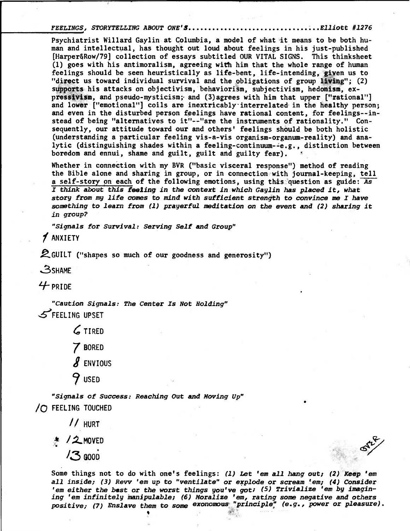FEELINGS, STORYTELLING ABOUT ONE'S...................................Elliott #1276

**Psychiatrist Willard Gaylin at Columbia, a model of what it means to be both human and intellectual, has thought out loud about feelings in his just-published [Harper\$Row/79] collection of essays subtitled OUR VITAL SIGNS. This thinksheet (1) goes with his antimoralism, agreeing with him that the whole range of human feelings should be seen heuristically as life-bent, life-intending, given us to "direct us toward individual survival and the obligations of group living"; (2) supports his attacks on objectivism, behaviorism, subjectivism, hedonism, expressivism, and pseudo-mysticism;. and (3)agrees with him that upper ("rational") and lower ["emotional"] coils are inextricably - interrelated in the healthy person; and even in the disturbed person feelings have rational content, for feelings--instead of being "alternatives to it"--"are the instruments of rationality." Consequently, our attitude toward our and others' feelings should be both holistic (understanding a particular feeling vis-a-vis organism-organum-reality) and analytic (distinguishing shades within a feeling-continuum--e.g., distinction between boredom and ennui, shame and guilt, guilt and guilty fear).** 

**Whether in connection with my BVR ("basic visceral response") method of reading the Bible alone and sharing in group, or in connection with journal-keeping, tell a self-story on eachof the following emotions, using this question as guide: As I think about this feeling in the context in which Gaylin has placed it, what**  story from my life comes to mind with sufficient strength to convince me I have **something to learn from (1) prayerful meditation on the event and (2) sharing it in group?** 

**"Signals for Survival: Serving Self and Group"** 

**f ANXIETY** 

**IZGUILT ("shapes so much of our goodness and generosity")** 

**.3SHAME** 

**1/- PRIDE** 

**"Caution Signals: The Center Is Not Holding" .5?FEELING UPSET** 

> **TIRED 7 BORED S ENVIOUS 41 USED**

**"Signals of Success: Reaching Out and Moving Up" /() FEELING TOUCHED** 

**// HURT** 

**/.2.MOVED** 

**0006** 

 $\mathcal{S}^n$ 

•

**Some things not to do with one's feelings: (1) Let 'em all hang out; (2) Keep 'em**  all inside; (3) Revv 'em up to "ventilate" or explode or scream 'em; (4) Consider **'em either the best or the worst things you've got; (5) Trivialize 'em by imagining 'em infinitely Manipulable; (6) Moralize 'em, rating some negative and others positive; (7) Enslave them to some exonomous "principle' (e.g., power or pleasure).**